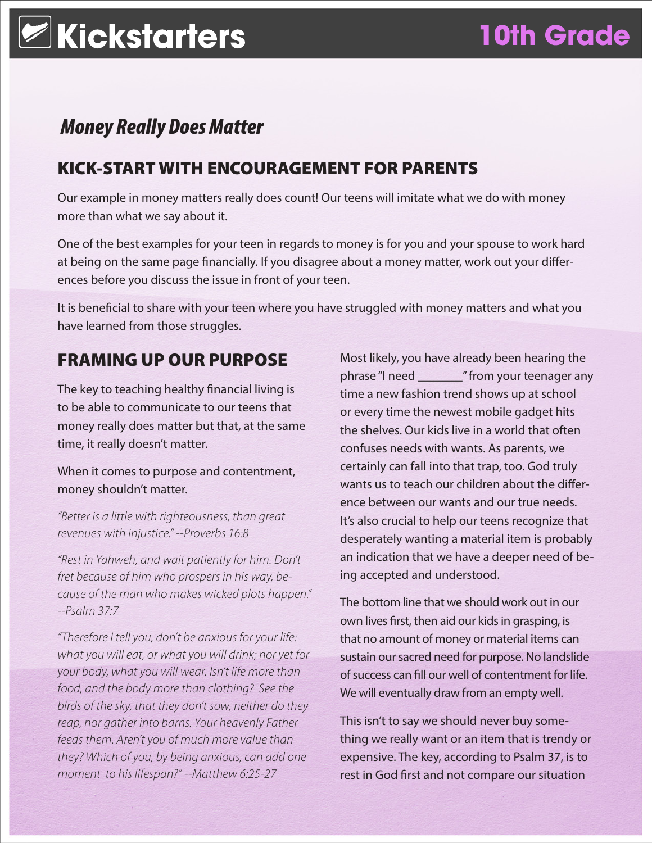# *Money Really Does Matter*

## KICK-START WITH ENCOURAGEMENT FOR PARENTS

Our example in money matters really does count! Our teens will imitate what we do with money more than what we say about it.

One of the best examples for your teen in regards to money is for you and your spouse to work hard at being on the same page financially. If you disagree about a money matter, work out your differences before you discuss the issue in front of your teen.

It is beneficial to share with your teen where you have struggled with money matters and what you have learned from those struggles.

## FRAMING UP OUR PURPOSE

The key to teaching healthy financial living is to be able to communicate to our teens that money really does matter but that, at the same time, it really doesn't matter.

### When it comes to purpose and contentment, money shouldn't matter.

*"Better is a little with righteousness, than great revenues with injustice." --Proverbs 16:8*

*"Rest in Yahweh, and wait patiently for him. Don't fret because of him who prospers in his way, because of the man who makes wicked plots happen." --Psalm 37:7*

*"Therefore I tell you, don't be anxious for your life: what you will eat, or what you will drink; nor yet for your body, what you will wear. Isn't life more than food, and the body more than clothing? See the birds of the sky, that they don't sow, neither do they reap, nor gather into barns. Your heavenly Father feeds them. Aren't you of much more value than they? Which of you, by being anxious, can add one moment to his lifespan?" --Matthew 6:25-27*

Most likely, you have already been hearing the phrase "I need \_\_\_\_\_\_\_" from your teenager any time a new fashion trend shows up at school or every time the newest mobile gadget hits the shelves. Our kids live in a world that often confuses needs with wants. As parents, we certainly can fall into that trap, too. God truly wants us to teach our children about the difference between our wants and our true needs. It's also crucial to help our teens recognize that desperately wanting a material item is probably an indication that we have a deeper need of being accepted and understood.

The bottom line that we should work out in our own lives first, then aid our kids in grasping, is that no amount of money or material items can sustain our sacred need for purpose. No landslide of success can fill our well of contentment for life. We will eventually draw from an empty well.

This isn't to say we should never buy something we really want or an item that is trendy or expensive. The key, according to Psalm 37, is to rest in God first and not compare our situation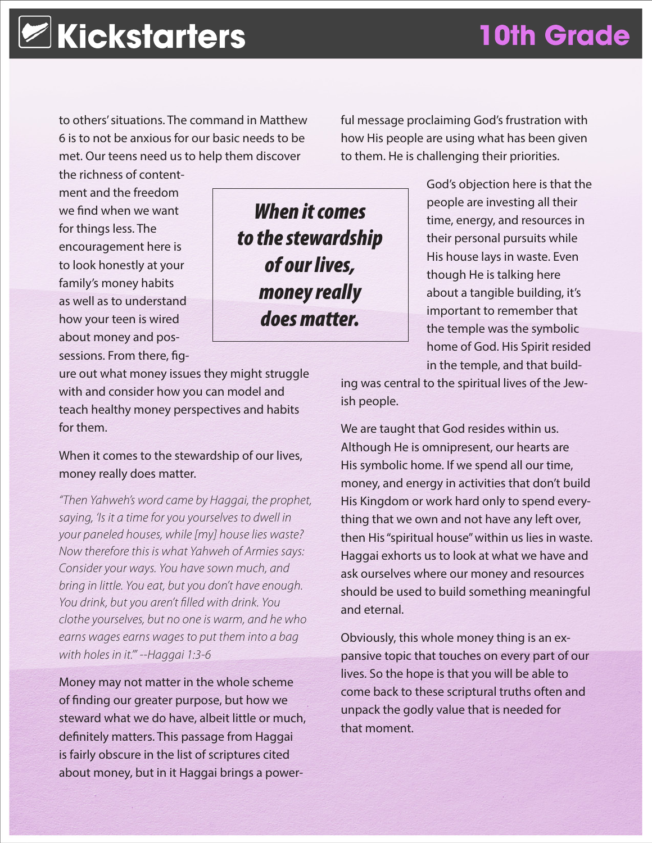to others' situations. The command in Matthew 6 is to not be anxious for our basic needs to be met. Our teens need us to help them discover

ful message proclaiming God's frustration with how His people are using what has been given to them. He is challenging their priorities.

the richness of contentment and the freedom we find when we want for things less. The encouragement here is to look honestly at your family's money habits as well as to understand how your teen is wired about money and possessions. From there, fig-

*When it comes to the stewardship of our lives, money really does matter.*

ure out what money issues they might struggle with and consider how you can model and teach healthy money perspectives and habits for them.

### When it comes to the stewardship of our lives, money really does matter.

*"Then Yahweh's word came by Haggai, the prophet, saying, 'Is it a time for you yourselves to dwell in your paneled houses, while [my] house lies waste? Now therefore this is what Yahweh of Armies says: Consider your ways. You have sown much, and bring in little. You eat, but you don't have enough. You drink, but you aren't filled with drink. You clothe yourselves, but no one is warm, and he who earns wages earns wages to put them into a bag with holes in it.'" --Haggai 1:3-6*

Money may not matter in the whole scheme of finding our greater purpose, but how we steward what we do have, albeit little or much, definitely matters. This passage from Haggai is fairly obscure in the list of scriptures cited about money, but in it Haggai brings a power-

God's objection here is that the people are investing all their time, energy, and resources in their personal pursuits while His house lays in waste. Even though He is talking here about a tangible building, it's important to remember that the temple was the symbolic home of God. His Spirit resided in the temple, and that build-

ing was central to the spiritual lives of the Jewish people.

We are taught that God resides within us. Although He is omnipresent, our hearts are His symbolic home. If we spend all our time, money, and energy in activities that don't build His Kingdom or work hard only to spend everything that we own and not have any left over, then His "spiritual house" within us lies in waste. Haggai exhorts us to look at what we have and ask ourselves where our money and resources should be used to build something meaningful and eternal.

Obviously, this whole money thing is an expansive topic that touches on every part of our lives. So the hope is that you will be able to come back to these scriptural truths often and unpack the godly value that is needed for that moment.